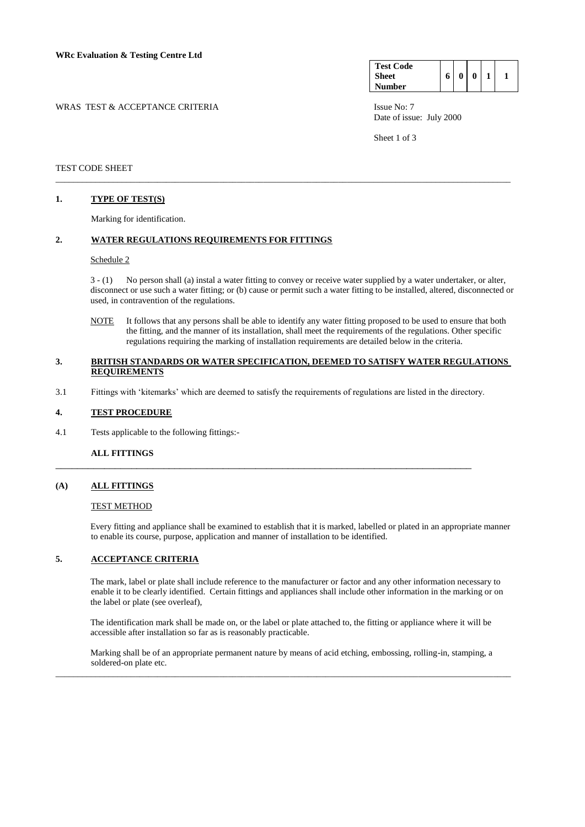| WRAS TEST & ACCEPTANCE CRITERIA | Issue No: 7 |
|---------------------------------|-------------|
|---------------------------------|-------------|

| <b>Test Code</b> |   |          |   |  |
|------------------|---|----------|---|--|
| <b>Sheet</b>     | 6 | $\bf{0}$ | 0 |  |
| Number           |   |          |   |  |

Date of issue: July 2000

Sheet 1 of 3

### TEST CODE SHEET

### **1. TYPE OF TEST(S)**

Marking for identification.

### **2. WATER REGULATIONS REQUIREMENTS FOR FITTINGS**

### Schedule 2

3 - (1) No person shall (a) instal a water fitting to convey or receive water supplied by a water undertaker, or alter, disconnect or use such a water fitting; or (b) cause or permit such a water fitting to be installed, altered, disconnected or used, in contravention of the regulations.

NOTE It follows that any persons shall be able to identify any water fitting proposed to be used to ensure that both the fitting, and the manner of its installation, shall meet the requirements of the regulations. Other specific regulations requiring the marking of installation requirements are detailed below in the criteria.

### **3. BRITISH STANDARDS OR WATER SPECIFICATION, DEEMED TO SATISFY WATER REGULATIONS REQUIREMENTS**

\_\_\_\_\_\_\_\_\_\_\_\_\_\_\_\_\_\_\_\_\_\_\_\_\_\_\_\_\_\_\_\_\_\_\_\_\_\_\_\_\_\_\_\_\_\_\_\_\_\_\_\_\_\_\_\_\_\_\_\_\_\_\_\_\_\_\_\_\_\_\_\_\_\_\_\_\_\_\_\_\_\_\_\_\_\_\_\_\_\_\_\_\_\_\_\_\_\_\_\_\_\_\_

3.1 Fittings with 'kitemarks' which are deemed to satisfy the requirements of regulations are listed in the directory.

\_\_\_\_\_\_\_\_\_\_\_\_\_\_\_\_\_\_\_\_\_\_\_\_\_\_\_\_\_\_\_\_\_\_\_\_\_\_\_\_\_\_\_\_\_\_\_\_\_\_\_\_\_\_\_\_\_\_\_\_\_\_\_\_\_\_\_\_\_\_\_\_\_\_\_\_\_

### **4. TEST PROCEDURE**

4.1 Tests applicable to the following fittings:-

### **ALL FITTINGS**

### **(A) ALL FITTINGS**

#### TEST METHOD

Every fitting and appliance shall be examined to establish that it is marked, labelled or plated in an appropriate manner to enable its course, purpose, application and manner of installation to be identified.

### **5. ACCEPTANCE CRITERIA**

The mark, label or plate shall include reference to the manufacturer or factor and any other information necessary to enable it to be clearly identified. Certain fittings and appliances shall include other information in the marking or on the label or plate (see overleaf),

The identification mark shall be made on, or the label or plate attached to, the fitting or appliance where it will be accessible after installation so far as is reasonably practicable.

Marking shall be of an appropriate permanent nature by means of acid etching, embossing, rolling-in, stamping, a soldered-on plate etc.

\_\_\_\_\_\_\_\_\_\_\_\_\_\_\_\_\_\_\_\_\_\_\_\_\_\_\_\_\_\_\_\_\_\_\_\_\_\_\_\_\_\_\_\_\_\_\_\_\_\_\_\_\_\_\_\_\_\_\_\_\_\_\_\_\_\_\_\_\_\_\_\_\_\_\_\_\_\_\_\_\_\_\_\_\_\_\_\_\_\_\_\_\_\_\_\_\_\_\_\_\_\_\_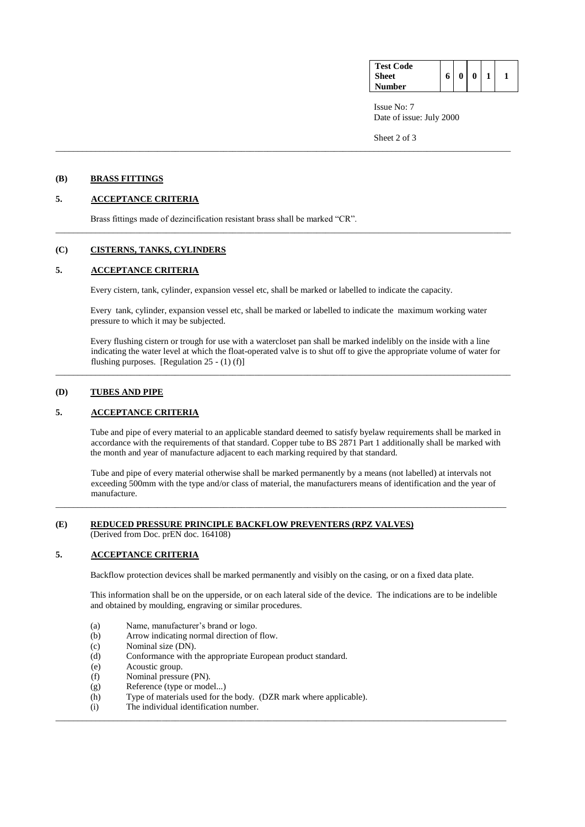| <b>Test Code</b> |   |   |  |
|------------------|---|---|--|
| <b>Sheet</b>     | 6 | 0 |  |
| Number           |   |   |  |

Issue No: 7 Date of issue: July 2000

Sheet 2 of 3

### **(B) BRASS FITTINGS**

# **5. ACCEPTANCE CRITERIA**

Brass fittings made of dezincification resistant brass shall be marked "CR".

### **(C) CISTERNS, TANKS, CYLINDERS**

### **5. ACCEPTANCE CRITERIA**

Every cistern, tank, cylinder, expansion vessel etc, shall be marked or labelled to indicate the capacity.

Every tank, cylinder, expansion vessel etc, shall be marked or labelled to indicate the maximum working water pressure to which it may be subjected.

\_\_\_\_\_\_\_\_\_\_\_\_\_\_\_\_\_\_\_\_\_\_\_\_\_\_\_\_\_\_\_\_\_\_\_\_\_\_\_\_\_\_\_\_\_\_\_\_\_\_\_\_\_\_\_\_\_\_\_\_\_\_\_\_\_\_\_\_\_\_\_\_\_\_\_\_\_\_\_\_\_\_\_\_\_\_\_\_\_\_\_\_\_\_\_\_\_\_\_\_\_\_\_

 $\_$  ,  $\_$  ,  $\_$  ,  $\_$  ,  $\_$  ,  $\_$  ,  $\_$  ,  $\_$  ,  $\_$  ,  $\_$  ,  $\_$  ,  $\_$  ,  $\_$  ,  $\_$  ,  $\_$  ,  $\_$  ,  $\_$  ,  $\_$  ,  $\_$  ,  $\_$  ,  $\_$  ,  $\_$  ,  $\_$  ,  $\_$  ,  $\_$  ,  $\_$  ,  $\_$  ,  $\_$  ,  $\_$  ,  $\_$  ,  $\_$  ,  $\_$  ,  $\_$  ,  $\_$  ,  $\_$  ,  $\_$  ,  $\_$  ,

Every flushing cistern or trough for use with a watercloset pan shall be marked indelibly on the inside with a line indicating the water level at which the float-operated valve is to shut off to give the appropriate volume of water for flushing purposes. [Regulation  $25 - (1)(f)$ ]

\_\_\_\_\_\_\_\_\_\_\_\_\_\_\_\_\_\_\_\_\_\_\_\_\_\_\_\_\_\_\_\_\_\_\_\_\_\_\_\_\_\_\_\_\_\_\_\_\_\_\_\_\_\_\_\_\_\_\_\_\_\_\_\_\_\_\_\_\_\_\_\_\_\_\_\_\_\_\_\_\_\_\_\_\_\_\_\_\_\_\_\_\_\_\_\_\_\_\_\_\_\_\_

## **(D) TUBES AND PIPE**

### **5. ACCEPTANCE CRITERIA**

Tube and pipe of every material to an applicable standard deemed to satisfy byelaw requirements shall be marked in accordance with the requirements of that standard. Copper tube to BS 2871 Part 1 additionally shall be marked with the month and year of manufacture adjacent to each marking required by that standard.

Tube and pipe of every material otherwise shall be marked permanently by a means (not labelled) at intervals not exceeding 500mm with the type and/or class of material, the manufacturers means of identification and the year of manufacture.

#### **(E) REDUCED PRESSURE PRINCIPLE BACKFLOW PREVENTERS (RPZ VALVES)**  (Derived from Doc. prEN doc. 164108)

# **5. ACCEPTANCE CRITERIA**

Backflow protection devices shall be marked permanently and visibly on the casing, or on a fixed data plate.

\_\_\_\_\_\_\_\_\_\_\_\_\_\_\_\_\_\_\_\_\_\_\_\_\_\_\_\_\_\_\_\_\_\_\_\_\_\_\_\_\_\_\_\_\_\_\_\_\_\_\_\_\_\_\_\_\_\_\_\_\_\_\_\_\_\_\_\_\_\_\_\_\_\_\_\_\_\_\_\_\_\_\_\_\_\_\_\_\_\_\_\_\_\_\_\_\_\_\_\_\_\_

\_\_\_\_\_\_\_\_\_\_\_\_\_\_\_\_\_\_\_\_\_\_\_\_\_\_\_\_\_\_\_\_\_\_\_\_\_\_\_\_\_\_\_\_\_\_\_\_\_\_\_\_\_\_\_\_\_\_\_\_\_\_\_\_\_\_\_\_\_\_\_\_\_\_\_\_\_\_\_\_\_\_\_\_\_\_\_\_\_\_\_\_\_\_\_\_\_\_\_\_\_\_

This information shall be on the upperside, or on each lateral side of the device. The indications are to be indelible and obtained by moulding, engraving or similar procedures.

- (a) Name, manufacturer's brand or logo.
- (b) Arrow indicating normal direction of flow.
- (c) Nominal size (DN).
- (d) Conformance with the appropriate European product standard.
- (e) Acoustic group.
- (f) Nominal pressure (PN).
- (g) Reference (type or model...)
- (h) Type of materials used for the body. (DZR mark where applicable).
- (i) The individual identification number.